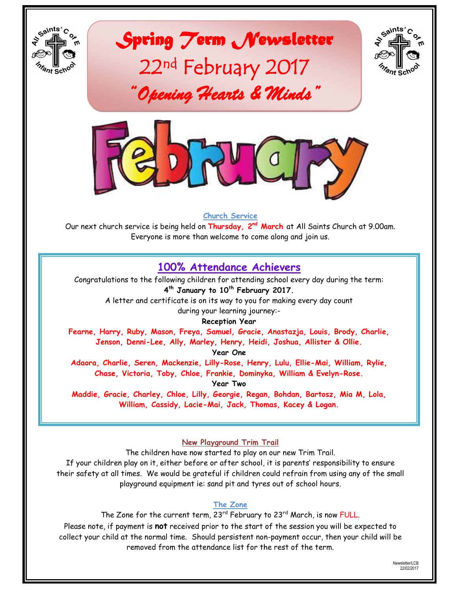

*Spring Term Newsletter*  22nd February 2017

*"Opening Hearts & Minds"* 





#### **Church Service**

Our next church service is being held on **Thursday, 2 nd March** at All Saints Church at 9.00am. Everyone is more than welcome to come along and join us.

# **100% Attendance Achievers**

Congratulations to the following children for attending school every day during the term: **4 th January to 10th February 2017.** 

A letter and certificate is on its way to you for making every day count during your learning journey:-

**Reception Year**

**Fearne, Harry, Ruby, Mason, Freya, Samuel, Gracie, Anastazja, Louis, Brody, Charlie, Jenson, Denni-Lee, Ally, Marley, Henry, Heidi, Joshua, Allister & Ollie.**

**Year One**

**Adaora, Charlie, Seren, Mackenzie, Lilly-Rose, Henry, Lulu, Ellie-Mai, William, Rylie, Chase, Victoria, Toby, Chloe, Frankie, Dominyka, William & Evelyn-Rose.**

**Year Two**

**Maddie, Gracie, Charley, Chloe, Lilly, Georgie, Regan, Bohdan, Bartosz, Mia M, Lola, William, Cassidy, Lacie-Mai, Jack, Thomas, Kacey & Logan.**

**New Playground Trim Trail**

The children have now started to play on our new Trim Trail. If your children play on it, either before or after school, it is parents" responsibility to ensure their safety at all times. We would be grateful if children could refrain from using any of the small playground equipment ie: sand pit and tyres out of school hours.

## **The Zone**

The Zone for the current term, 23<sup>rd</sup> February to 23<sup>rd</sup> March, is now FULL. Please note, if payment is **not** received prior to the start of the session you will be expected to collect your child at the normal time. Should persistent non-payment occur, then your child will be removed from the attendance list for the rest of the term.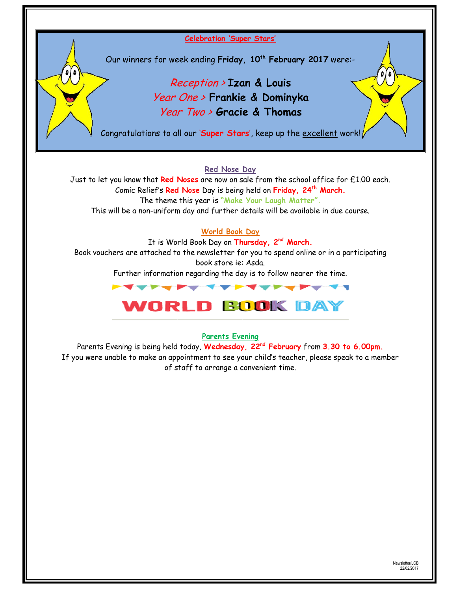**Celebration "Super Stars"**

Our winners for week ending **Friday, 10th February 2017** were:-

# Reception > **Izan & Louis** Year One > **Frankie & Dominyka** Year Two > **Gracie & Thomas**

Congratulations to all our "**Super Stars**", keep up the excellent work!

#### **Red Nose Day**

Just to let you know that **Red Noses** are now on sale from the school office for £1.00 each. Comic Relief"s **Red Nose** Day is being held on **Friday, 24th March.** The theme this year is **"Make Your Laugh Matter".**

This will be a non-uniform day and further details will be available in due course.

## **World Book Day**

It is World Book Day on **Thursday, 2nd March.**

Book vouchers are attached to the newsletter for you to spend online or in a participating book store ie: Asda.

Further information regarding the day is to follow nearer the time.



#### **Parents Evening**

Parents Evening is being held today, **Wednesday, 22nd February** from **3.30 to 6.00pm.** If you were unable to make an appointment to see your child"s teacher, please speak to a member of staff to arrange a convenient time.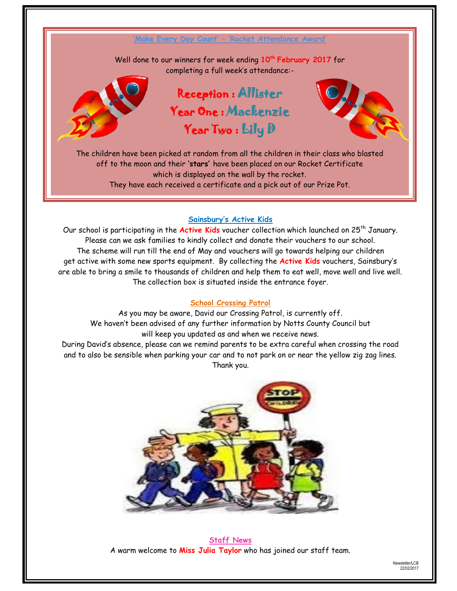

The children have been picked at random from all the children in their class who blasted off to the moon and their **"stars"** have been placed on our Rocket Certificate which is displayed on the wall by the rocket. They have each received a certificate and a pick out of our Prize Pot.

Year Two : Lily D

# **Sainsbury"s Active Kids**

Our school is participating in the Active Kids voucher collection which launched on 25<sup>th</sup> January. Please can we ask families to kindly collect and donate their vouchers to our school. The scheme will run till the end of May and vouchers will go towards helping our children get active with some new sports equipment. By collecting the **Active Kids** vouchers, Sainsbury"s are able to bring a smile to thousands of children and help them to eat well, move well and live well. The collection box is situated inside the entrance foyer.

#### **School Crossing Patrol**

As you may be aware, David our Crossing Patrol, is currently off. We haven"t been advised of any further information by Notts County Council but will keep you updated as and when we receive news. During David"s absence, please can we remind parents to be extra careful when crossing the road and to also be sensible when parking your car and to not park on or near the yellow zig zag lines. Thank you.



**Staff News** A warm welcome to **Miss Julia Taylor** who has joined our staff team.